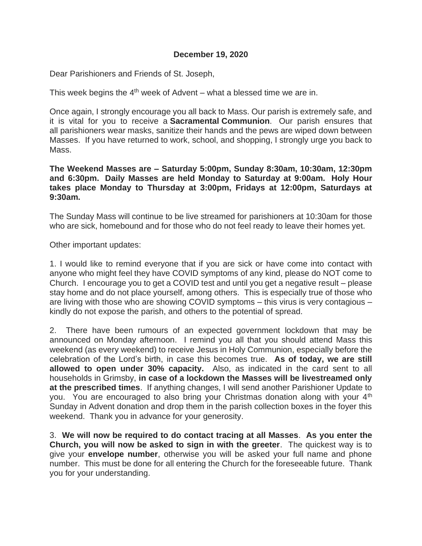# **December 19, 2020**

Dear Parishioners and Friends of St. Joseph,

This week begins the 4<sup>th</sup> week of Advent – what a blessed time we are in.

Once again, I strongly encourage you all back to Mass. Our parish is extremely safe, and it is vital for you to receive a **Sacramental Communion**. Our parish ensures that all parishioners wear masks, sanitize their hands and the pews are wiped down between Masses. If you have returned to work, school, and shopping, I strongly urge you back to Mass.

**The Weekend Masses are – Saturday 5:00pm, Sunday 8:30am, 10:30am, 12:30pm and 6:30pm. Daily Masses are held Monday to Saturday at 9:00am. Holy Hour takes place Monday to Thursday at 3:00pm, Fridays at 12:00pm, Saturdays at 9:30am.**

The Sunday Mass will continue to be live streamed for parishioners at 10:30am for those who are sick, homebound and for those who do not feel ready to leave their homes yet.

Other important updates:

1. I would like to remind everyone that if you are sick or have come into contact with anyone who might feel they have COVID symptoms of any kind, please do NOT come to Church. I encourage you to get a COVID test and until you get a negative result – please stay home and do not place yourself, among others. This is especially true of those who are living with those who are showing COVID symptoms – this virus is very contagious – kindly do not expose the parish, and others to the potential of spread.

2. There have been rumours of an expected government lockdown that may be announced on Monday afternoon. I remind you all that you should attend Mass this weekend (as every weekend) to receive Jesus in Holy Communion, especially before the celebration of the Lord's birth, in case this becomes true. **As of today, we are still allowed to open under 30% capacity.** Also, as indicated in the card sent to all households in Grimsby, **in case of a lockdown the Masses will be livestreamed only at the prescribed times**. If anything changes, I will send another Parishioner Update to you. You are encouraged to also bring your Christmas donation along with your 4<sup>th</sup> Sunday in Advent donation and drop them in the parish collection boxes in the foyer this weekend. Thank you in advance for your generosity.

3. **We will now be required to do contact tracing at all Masses**. **As you enter the Church, you will now be asked to sign in with the greeter**. The quickest way is to give your **envelope number**, otherwise you will be asked your full name and phone number. This must be done for all entering the Church for the foreseeable future. Thank you for your understanding.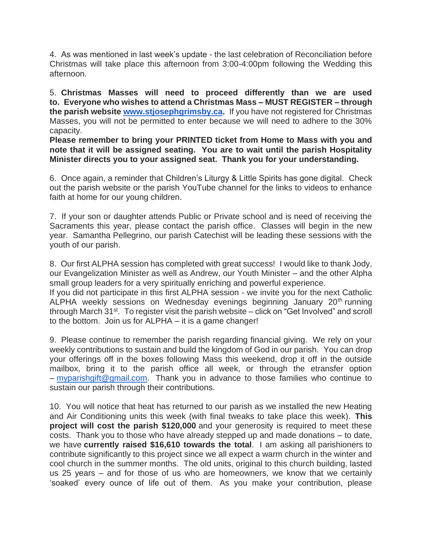4. As was mentioned in last week's update - the last celebration of Reconciliation before Christmas will take place this afternoon from 3:00-4:00pm following the Wedding this afternoon.

5. **Christmas Masses will need to proceed differently than we are used to. Everyone who wishes to attend a Christmas Mass – MUST REGISTER – through the parish website [www.stjosephgrimsby.ca.](http://www.stjosephgrimsby.ca/)** If you have not registered for Christmas Masses, you will not be permitted to enter because we will need to adhere to the 30% capacity.

**Please remember to bring your PRINTED ticket from Home to Mass with you and note that it will be assigned seating. You are to wait until the parish Hospitality Minister directs you to your assigned seat. Thank you for your understanding.** 

6. Once again, a reminder that Children's Liturgy & Little Spirits has gone digital. Check out the parish website or the parish YouTube channel for the links to videos to enhance faith at home for our young children.

7. If your son or daughter attends Public or Private school and is need of receiving the Sacraments this year, please contact the parish office. Classes will begin in the new year. Samantha Pellegrino, our parish Catechist will be leading these sessions with the youth of our parish.

8. Our first ALPHA session has completed with great success! I would like to thank Jody, our Evangelization Minister as well as Andrew, our Youth Minister – and the other Alpha small group leaders for a very spiritually enriching and powerful experience.

If you did not participate in this first ALPHA session - we invite you for the next Catholic ALPHA weekly sessions on Wednesday evenings beginning January 20<sup>th</sup> running through March 31<sup>st</sup>. To register visit the parish website – click on "Get Involved" and scroll to the bottom. Join us for ALPHA – it is a game changer!

9. Please continue to remember the parish regarding financial giving. We rely on your weekly contributions to sustain and build the kingdom of God in our parish. You can drop your offerings off in the boxes following Mass this weekend, drop it off in the outside mailbox, bring it to the parish office all week, or through the etransfer option – [myparishgift@gmail.com.](mailto:myparishgift@gmail.com) Thank you in advance to those families who continue to sustain our parish through their contributions.

10. You will notice that heat has returned to our parish as we installed the new Heating and Air Conditioning units this week (with final tweaks to take place this week). **This project will cost the parish \$120,000** and your generosity is required to meet these costs. Thank you to those who have already stepped up and made donations – to date, we have **currently raised \$16,610 towards the total**. I am asking all parishioners to contribute significantly to this project since we all expect a warm church in the winter and cool church in the summer months. The old units, original to this church building, lasted us 25 years – and for those of us who are homeowners, we know that we certainly 'soaked' every ounce of life out of them. As you make your contribution, please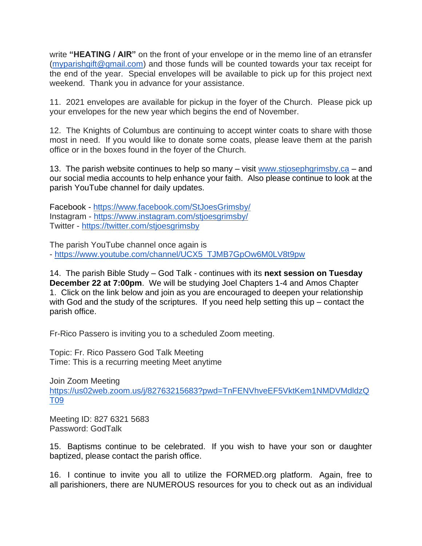write **"HEATING / AIR"** on the front of your envelope or in the memo line of an etransfer [\(myparishgift@gmail.com\)](mailto:myparishgift@gmail.com) and those funds will be counted towards your tax receipt for the end of the year. Special envelopes will be available to pick up for this project next weekend. Thank you in advance for your assistance.

11. 2021 envelopes are available for pickup in the foyer of the Church. Please pick up your envelopes for the new year which begins the end of November.

12. The Knights of Columbus are continuing to accept winter coats to share with those most in need. If you would like to donate some coats, please leave them at the parish office or in the boxes found in the foyer of the Church.

13. The parish website continues to help so many – visit [www.stjosephgrimsby.ca](http://www.stjosephgrimsby.ca/) – and our social media accounts to help enhance your faith. Also please continue to look at the parish YouTube channel for daily updates.

Facebook - <https://www.facebook.com/StJoesGrimsby/> Instagram - <https://www.instagram.com/stjoesgrimsby/> Twitter - <https://twitter.com/stjoesgrimsby>

The parish YouTube channel once again is - [https://www.youtube.com/channel/UCX5\\_TJMB7GpOw6M0LV8t9pw](https://www.youtube.com/channel/UCX5_TJMB7GpOw6M0LV8t9pw)

14. The parish Bible Study – God Talk - continues with its **next session on Tuesday December 22 at 7:00pm**. We will be studying Joel Chapters 1-4 and Amos Chapter 1. Click on the link below and join as you are encouraged to deepen your relationship with God and the study of the scriptures. If you need help setting this up – contact the parish office.

Fr-Rico Passero is inviting you to a scheduled Zoom meeting.

Topic: Fr. Rico Passero God Talk Meeting Time: This is a recurring meeting Meet anytime

Join Zoom Meeting [https://us02web.zoom.us/j/82763215683?pwd=TnFENVhveEF5VktKem1NMDVMdldzQ](https://us02web.zoom.us/j/82763215683?pwd=TnFENVhveEF5VktKem1NMDVMdldzQT09) [T09](https://us02web.zoom.us/j/82763215683?pwd=TnFENVhveEF5VktKem1NMDVMdldzQT09)

Meeting ID: 827 6321 5683 Password: GodTalk

15. Baptisms continue to be celebrated. If you wish to have your son or daughter baptized, please contact the parish office.

16. I continue to invite you all to utilize the FORMED.org platform. Again, free to all parishioners, there are NUMEROUS resources for you to check out as an individual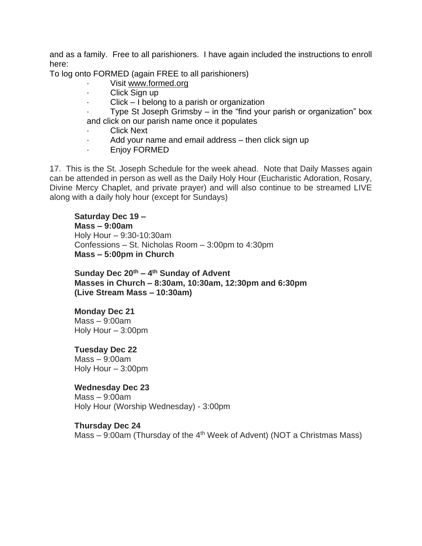and as a family. Free to all parishioners. I have again included the instructions to enroll here:

To log onto FORMED (again FREE to all parishioners)

- Visit [www.formed.org](http://www.formed.org/)
- · Click Sign up
- $Click I belong to a parish or organization$

Type St Joseph Grimsby – in the "find your parish or organization" box and click on our parish name once it populates

- Click Next
- Add your name and email address  $-$  then click sign up
- · Enjoy FORMED

17. This is the St. Joseph Schedule for the week ahead. Note that Daily Masses again can be attended in person as well as the Daily Holy Hour (Eucharistic Adoration, Rosary, Divine Mercy Chaplet, and private prayer) and will also continue to be streamed LIVE along with a daily holy hour (except for Sundays)

#### **Saturday Dec 19 –**

**Mass – 9:00am** Holy Hour – 9:30-10:30am Confessions – St. Nicholas Room – 3:00pm to 4:30pm **Mass – 5:00pm in Church**

**Sunday Dec 20th – 4 th Sunday of Advent Masses in Church – 8:30am, 10:30am, 12:30pm and 6:30pm (Live Stream Mass – 10:30am)**

# **Monday Dec 21**

 $Mass - 9:00$ am Holy Hour – 3:00pm

# **Tuesday Dec 22**

Mass – 9:00am Holy Hour – 3:00pm

# **Wednesday Dec 23**

Mass – 9:00am Holy Hour (Worship Wednesday) - 3:00pm

#### **Thursday Dec 24**

Mass  $-$  9:00am (Thursday of the 4<sup>th</sup> Week of Advent) (NOT a Christmas Mass)